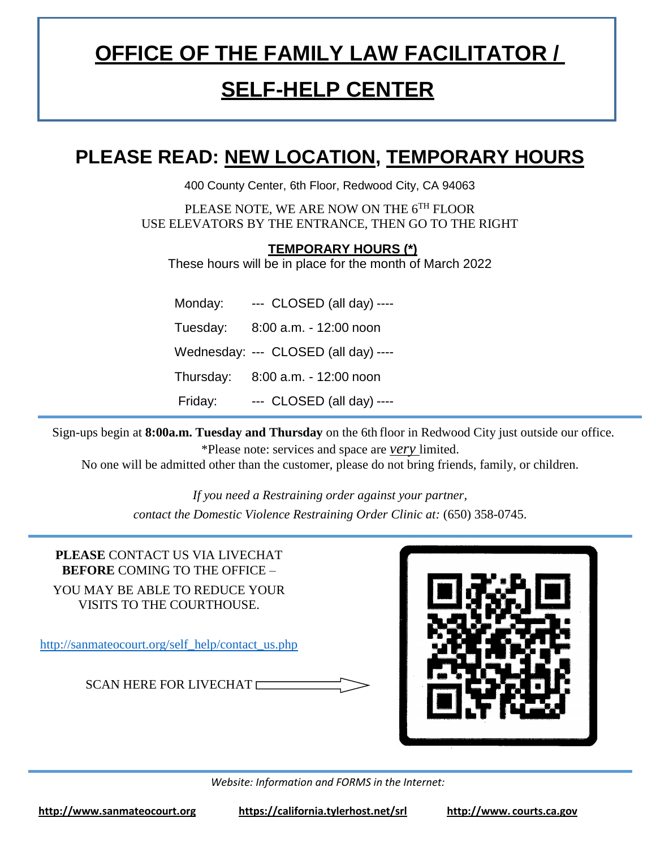# **OFFICE OF THE FAMILY LAW FACILITATOR /**

### **SELF-HELP CENTER**

#### **PLEASE READ: NEW LOCATION, TEMPORARY HOURS**

400 County Center, 6th Floor, Redwood City, CA 94063

PLEASE NOTE, WE ARE NOW ON THE 6TH FLOOR USE ELEVATORS BY THE ENTRANCE, THEN GO TO THE RIGHT

**TEMPORARY HOURS (\*)**

These hours will be in place for the month of March 2022

| Monday:  | $\leftarrow$ CLOSED (all day) $\leftarrow$ |
|----------|--------------------------------------------|
| Tuesday: | 8:00 a.m. - 12:00 noon                     |
|          | Wednesday: --- CLOSED (all day) ----       |
|          | Thursday: 8:00 a.m. - 12:00 noon           |
| Friday:  | --- CLOSED (all day) ----                  |

Sign-ups begin at **8:00a.m. Tuesday and Thursday** on the 6th floor in Redwood City just outside our office. \*Please note: services and space are *very* limited.

No one will be admitted other than the customer, please do not bring friends, family, or children.

*If you need a Restraining order against your partner, contact the Domestic Violence Restraining Order Clinic at:* (650) 358-0745.

**PLEASE** CONTACT US VIA LIVECHAT **BEFORE** COMING TO THE OFFICE – YOU MAY BE ABLE TO REDUCE YOUR VISITS TO THE COURTHOUSE. [http://sanmateocourt.org/self\\_help/contact\\_us.php](http://sanmateocourt.org/self_help/contact_us.php) SCAN HERE FOR LIVECHAT



*Website: Information and FORMS in the Internet:*

**[http://www.sanmateocourt.org](http://www.sanmateocourt.org/) https://california.tylerhost.net/srl http://www. courts.ca.gov**